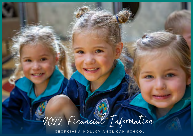

**GEORGIANA MOLLOY ANGLICAN SCHOOL**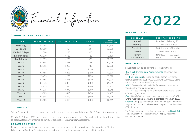

Financial Information

#### **SCHOOL FEES BY YEAR LEVEL**

| YEAR             | <b>ANNUAL TUITION</b> | <b>RESOURCE LEVY</b> | CAMPS | <b>SUBTOTAL</b><br>(excluding additional charges) |
|------------------|-----------------------|----------------------|-------|---------------------------------------------------|
| LG(1 day)        | \$1,795               | \$0                  | \$0   | \$1,795                                           |
| LG (2 days)      | \$3,590               | \$0                  | \$0   | \$3,590                                           |
| Kindy (2.5 days) | \$1,500               | \$185                | \$25  | \$1,710                                           |
| Kindy (4 days)   | \$2,970               | \$185                | \$25  | \$3,180                                           |
| Pre-Primary      | \$2,595               | \$285                | \$25  | \$2,905                                           |
| Year 1           | \$2,595               | \$285                | \$35  | \$2,915                                           |
| Year 2           | \$2,595               | \$285                | \$40  | \$2,920                                           |
| Year 3           | \$3,455               | \$225                | \$150 | \$3,830                                           |
| Year 4           | \$3,455               | \$225                | \$190 | \$3,870                                           |
| Year 5           | \$3,455               | \$225                | \$290 | \$3,970                                           |
| Year 6           | \$3,455               | \$225                | \$320 | \$4,000                                           |
| Year 7           | \$4,975               | \$370                | \$400 | \$5,745                                           |
| Year 8           | \$4,975               | \$370                | \$400 | \$5,745                                           |
| Year 9           | \$4,975               | \$370                | \$500 | \$5,845                                           |
| Year 10          | \$5,605               | \$410                | \$450 | \$6,465                                           |
| Year 11          | \$5,605               | \$410                | \$400 | \$6,415                                           |
| Year 12          | \$5,605               | \$410                | \$400 | \$6,415                                           |

#### **TUITION FEES**

Tuition fees are billed in one annual invoice which is sent to families in early-February 2022. Payment is required by

Monday 21 February 2022 unless an alternative payment arrangement is made. Tuition fees do not include the cost of textbooks, stationery, uniforms, co-curricular activities or instrumental music lessons.

# **RESOURCE LEV IES**

Resource levies cover the cost of student resources, excursions, elective subjects (with the exception of Physical Education and Outdoor Education), photocopying and general consumable resources whilst learning.

# **2022**

#### **PAYMENT DATES**

| <b>SCHEDULE</b> | <b>FEES PAYABLE DATE</b>  |  |  |
|-----------------|---------------------------|--|--|
| Annual          | Monday 21 February 2022   |  |  |
| Monthly         | 16th of the month         |  |  |
| Fortnightly     | Fortnightly on a Thursday |  |  |
| Weekly          | Weekly on a Friday        |  |  |
| Termly          | 9/5/2022<br>21/2/2022     |  |  |
| (4 Payments)    | 24/10/2022<br>8/8/2022    |  |  |

# **HOW TO PAY**

School fees may be paid by the following methods:

Direct Debit/Credit Card Arrangements: as per payment dates above

EFT bank transfer: Fees can be paid electronically to the following account: BSB: 706001, Account: 300003692 using the account code as the reference.

BPAY: Fees can be paid by BPAY. Reference codes can be found on the annual statement.

EFTPOS: Fees can be paid via credit/debit card at the School Office or by telephone.

Cash: GMAS Cafe has moved to a cashless system in 2021.

**GMAS fees will be moving to a cashless system in 2022.** 

Cheque: Cheques can be made payable to Georgiana Molloy Anglican School and can be received by post or via the School Office in person.

The School's preferred method of payment is by Direct Debit. The annual school fee statement will display instalment options for payment.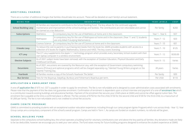# **ADDITIONAL CHARGES**

There are a number of additional charges that families should take into account. These will be detailed on each family's annual statement.

| <b>BEING FOR</b>            |                                                                                                                                                                                                                                                                          | YEAR LEVELS                                                                                                                                    | <b>COST</b>     |        |
|-----------------------------|--------------------------------------------------------------------------------------------------------------------------------------------------------------------------------------------------------------------------------------------------------------------------|------------------------------------------------------------------------------------------------------------------------------------------------|-----------------|--------|
| <b>School Building Levy</b> | All families are required to contribute to the School Building Fund. The levy allows for the continued upgrade,<br>maintenance and improvement of the school buildings and facilities. The contributions are non-refundable and cannot<br>be claimed as a tax deduction. |                                                                                                                                                | Per family      | \$260  |
| Subscriptions               | Mathletics                                                                                                                                                                                                                                                               | A compulsory levy for the use of Mathletics at home and in the classroom.                                                                      | Year 1 - Year 6 | \$37   |
|                             | Mathspace                                                                                                                                                                                                                                                                | A compulsory levy for the use of Mathspace at home and in the classroom. (Year 11 and 12 students<br>are only billed if studying Mathematics). | Years 7 - 12    | \$20   |
|                             | Cosmos Science                                                                                                                                                                                                                                                           | A compulsory levy for the use of Cosmos at home and in the classroom.                                                                          | Years 7 - 10    | \$31   |
| E-books Levy                | To reduce the cost to parents in purchasing text books from the book list, GMAS provides students with access to a<br>collection of E-books for English, Mathematics, Science and HASS. The levy covers licensing.                                                       | Years 7 - 10                                                                                                                                   | \$125           |        |
| <b>ICT Levy</b>             | The ICT Levy supplements the Apple 1: 1 technology program which provides every Secondary School student with their<br>own laptop computer in a wireless environment.                                                                                                    | Years 7 - 12                                                                                                                                   | \$530.00        |        |
| <b>Elective Subjects</b>    | As of 2021 subject levies have been removed, with the exception of Outdoor Education, Physical Education and Early<br>Childhood Certificate.                                                                                                                             | Years 9 - 12                                                                                                                                   | Varies          |        |
| <b>Excursions</b>           | As of 2021, excursions are covered by the Resource Levy, with the exception of Government compulsory swimming<br>lessons (Primary) and optional programs which will be charged separately e.g. Talented Young Writers program or the<br>Yalambi Training Day.            |                                                                                                                                                | All years       | Varies |
| Yearbook                    | All families receive a copy of the School's Yearbook 'The Settler'.                                                                                                                                                                                                      |                                                                                                                                                | Per family      | \$39   |
| <b>Bus Service</b>          | Fees for the Boyanup, Dalyellup, Bunbury and Fisherman's Road bus per term.                                                                                                                                                                                              |                                                                                                                                                | Per child       | \$110  |

#### **APPLICATION & ENROLMENT FEES**

A one-off application fee of \$75 incl. GST is payable in order to apply for enrolment. The fee is non refundable and is designed to cover administration costs associated with enrolments. Please note that the payment of this fee does not guarantee enrolment. Confirmation of enrolment is dependent upon a school interview and payment of a one-off enrolment fee which is a contribution towards existing buildings and educational facilities. Payment of the enrolment fee secures your child's place at GMAS and cannot be offset against tuition fees. The enrolment fee is payable at the time a confirmed place is offered. The fee consists of \$750 for the first child, \$150 for the second child and \$100 for the third child, to a maxiumum of \$1,000 per family. The fee is non-refundable and is not credited to school fee accounts.

### **CAMPS (IGNITE PROGRAM)**

GMAS is committed to providing students with an exceptional outdoor education experience, including through our camp program (Ignite Program) which runs across Kindy - Year 12. Year Group camps are a compulsory component of the school's overall program. Camps are held in Term 1. As camps are funded on student numbers, no refunds will be given.

# **SCHOOL BUILDING FUND**

Separate to the compulsory school building levy, the school operates a building fund for voluntary contributions over and above the levy paid by all families. Any donations made are likely to be tax deductible, however we encourage you to seek your own advice. The fund raises money for future building programs designed to enhance the student experience at GMAS.